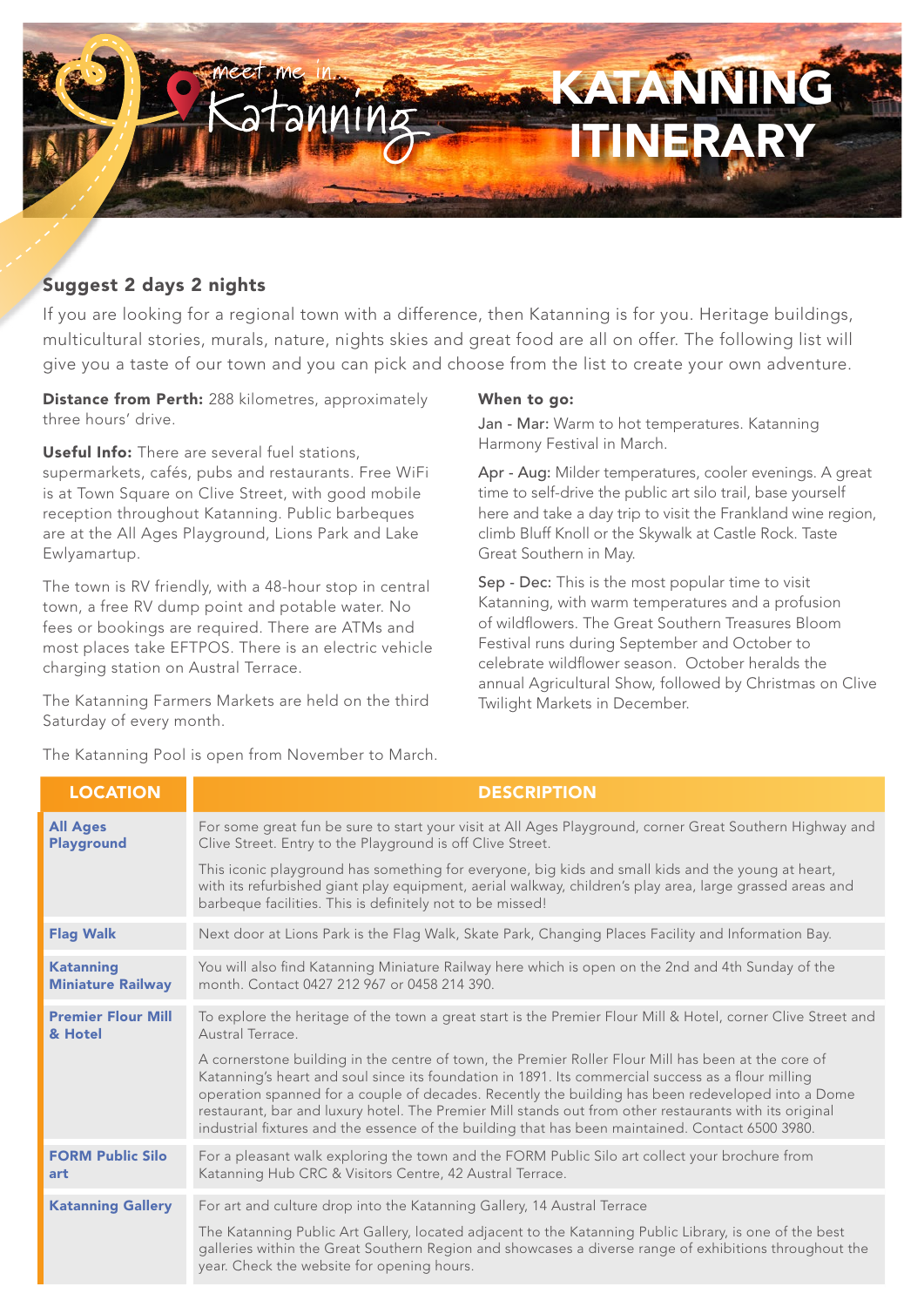

# Suggest 2 days 2 nights

If you are looking for a regional town with a difference, then Katanning is for you. Heritage buildings, multicultural stories, murals, nature, nights skies and great food are all on offer. The following list will give you a taste of our town and you can pick and choose from the list to create your own adventure.

Distance from Perth: 288 kilometres, approximately three hours' drive.

Useful Info: There are several fuel stations, supermarkets, cafés, pubs and restaurants. Free WiFi is at Town Square on Clive Street, with good mobile reception throughout Katanning. Public barbeques are at the All Ages Playground, Lions Park and Lake Ewlyamartup.

The town is RV friendly, with a 48-hour stop in central town, a free RV dump point and potable water. No fees or bookings are required. There are ATMs and most places take EFTPOS. There is an electric vehicle charging station on Austral Terrace.

The Katanning Farmers Markets are held on the third Saturday of every month.

The Katanning Pool is open from November to March.

# When to go:

Jan - Mar: Warm to hot temperatures. Katanning Harmony Festival in March.

Apr - Aug: Milder temperatures, cooler evenings. A great time to self-drive the public art silo trail, base yourself here and take a day trip to visit the Frankland wine region, climb Bluff Knoll or the Skywalk at Castle Rock. Taste Great Southern in May.

Sep - Dec: This is the most popular time to visit Katanning, with warm temperatures and a profusion of wildflowers. The Great Southern Treasures Bloom Festival runs during September and October to celebrate wildflower season. October heralds the annual Agricultural Show, followed by Christmas on Clive Twilight Markets in December.

| <b>LOCATION</b>                              | <b>DESCRIPTION</b>                                                                                                                                                                                                                                                                                                                                                                                                                                                                                                           |
|----------------------------------------------|------------------------------------------------------------------------------------------------------------------------------------------------------------------------------------------------------------------------------------------------------------------------------------------------------------------------------------------------------------------------------------------------------------------------------------------------------------------------------------------------------------------------------|
| <b>All Ages</b><br><b>Playground</b>         | For some great fun be sure to start your visit at All Ages Playground, corner Great Southern Highway and<br>Clive Street. Entry to the Playground is off Clive Street.                                                                                                                                                                                                                                                                                                                                                       |
|                                              | This iconic playground has something for everyone, big kids and small kids and the young at heart,<br>with its refurbished giant play equipment, aerial walkway, children's play area, large grassed areas and<br>barbeque facilities. This is definitely not to be missed!                                                                                                                                                                                                                                                  |
| <b>Flag Walk</b>                             | Next door at Lions Park is the Flag Walk, Skate Park, Changing Places Facility and Information Bay.                                                                                                                                                                                                                                                                                                                                                                                                                          |
| <b>Katanning</b><br><b>Miniature Railway</b> | You will also find Katanning Miniature Railway here which is open on the 2nd and 4th Sunday of the<br>month. Contact 0427 212 967 or 0458 214 390.                                                                                                                                                                                                                                                                                                                                                                           |
| <b>Premier Flour Mill</b><br>& Hotel         | To explore the heritage of the town a great start is the Premier Flour Mill & Hotel, corner Clive Street and<br>Austral Terrace.                                                                                                                                                                                                                                                                                                                                                                                             |
|                                              | A cornerstone building in the centre of town, the Premier Roller Flour Mill has been at the core of<br>Katanning's heart and soul since its foundation in 1891. Its commercial success as a flour milling<br>operation spanned for a couple of decades. Recently the building has been redeveloped into a Dome<br>restaurant, bar and luxury hotel. The Premier Mill stands out from other restaurants with its original<br>industrial fixtures and the essence of the building that has been maintained. Contact 6500 3980. |
| <b>FORM Public Silo</b><br>art               | For a pleasant walk exploring the town and the FORM Public Silo art collect your brochure from<br>Katanning Hub CRC & Visitors Centre, 42 Austral Terrace.                                                                                                                                                                                                                                                                                                                                                                   |
| <b>Katanning Gallery</b>                     | For art and culture drop into the Katanning Gallery, 14 Austral Terrace                                                                                                                                                                                                                                                                                                                                                                                                                                                      |
|                                              | The Katanning Public Art Gallery, located adjacent to the Katanning Public Library, is one of the best<br>galleries within the Great Southern Region and showcases a diverse range of exhibitions throughout the<br>year. Check the website for opening hours.                                                                                                                                                                                                                                                               |